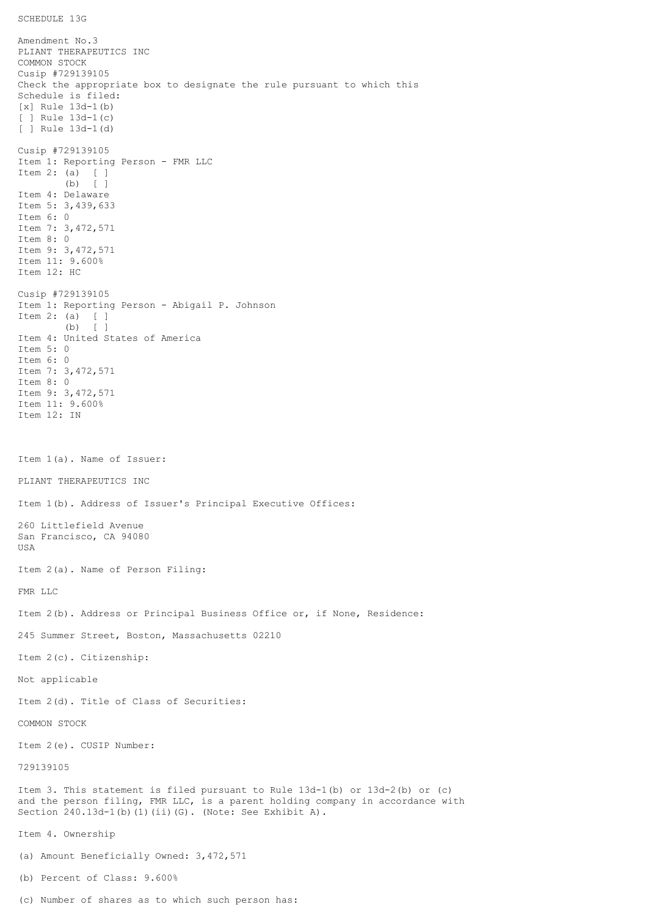SCHEDULE 13G

Amendment No.3 PLIANT THERAPEUTICS INC COMMON STOCK Cusip #729139105 Check the appropriate box to designate the rule pursuant to which this Schedule is filed: [x] Rule 13d-1(b) [ ] Rule 13d-1(c) [ ] Rule 13d-1(d) Cusip #729139105 Item 1: Reporting Person - FMR LLC Item 2: (a) [ ] (b) [ ] Item 4: Delaware Item 5: 3,439,633 Item 6: 0 Item 7: 3,472,571 Item 8: 0 Item 9: 3,472,571 Item 11: 9.600% Item 12: HC Cusip #729139105 Item 1: Reporting Person - Abigail P. Johnson Item 2: (a) [ ] (b) [ ] Item 4: United States of America Item 5: 0 Item 6: 0 Item 7: 3,472,571 Item 8: 0 Item 9: 3,472,571 Item 11: 9.600% Item 12: IN Item 1(a). Name of Issuer: PLIANT THERAPEUTICS INC Item 1(b). Address of Issuer's Principal Executive Offices: 260 Littlefield Avenue San Francisco, CA 94080 USA Item 2(a). Name of Person Filing: FMR LLC Item 2(b). Address or Principal Business Office or, if None, Residence: 245 Summer Street, Boston, Massachusetts 02210 Item 2(c). Citizenship: Not applicable Item 2(d). Title of Class of Securities: COMMON STOCK Item 2(e). CUSIP Number: 729139105 Item 3. This statement is filed pursuant to Rule 13d-1(b) or 13d-2(b) or (c) and the person filing, FMR LLC, is a parent holding company in accordance with Section 240.13d-1(b)(1)(ii)(G). (Note: See Exhibit A). Item 4. Ownership (a) Amount Beneficially Owned: 3,472,571 (b) Percent of Class: 9.600%

(c) Number of shares as to which such person has: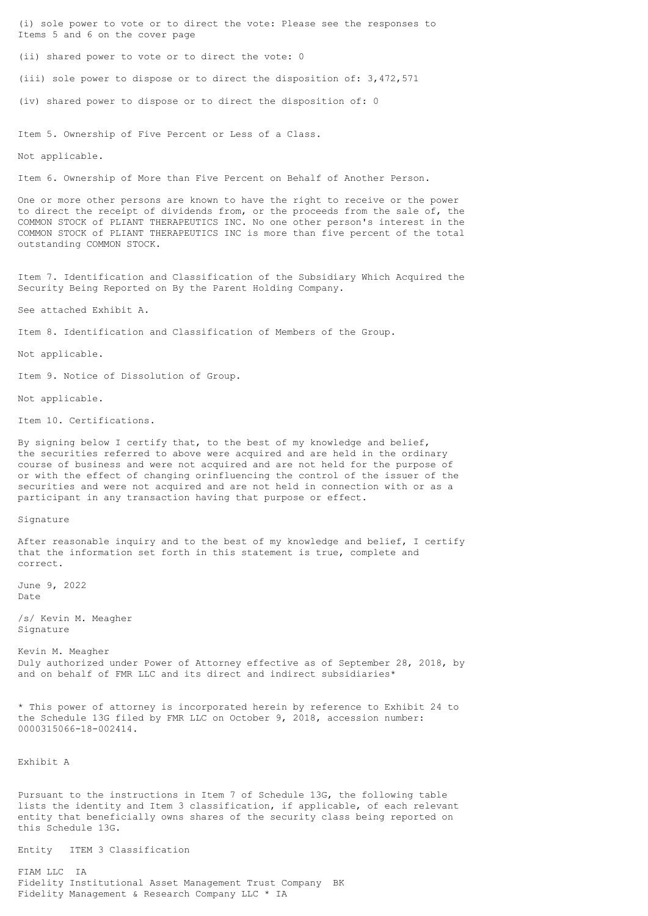(i) sole power to vote or to direct the vote: Please see the responses to Items 5 and 6 on the cover page

(ii) shared power to vote or to direct the vote: 0

(iii) sole power to dispose or to direct the disposition of: 3,472,571

(iv) shared power to dispose or to direct the disposition of: 0

Item 5. Ownership of Five Percent or Less of a Class.

Not applicable.

Item 6. Ownership of More than Five Percent on Behalf of Another Person.

One or more other persons are known to have the right to receive or the power to direct the receipt of dividends from, or the proceeds from the sale of, the COMMON STOCK of PLIANT THERAPEUTICS INC. No one other person's interest in the COMMON STOCK of PLIANT THERAPEUTICS INC is more than five percent of the total outstanding COMMON STOCK.

Item 7. Identification and Classification of the Subsidiary Which Acquired the Security Being Reported on By the Parent Holding Company.

See attached Exhibit A.

Item 8. Identification and Classification of Members of the Group.

Not applicable.

Item 9. Notice of Dissolution of Group.

Not applicable.

Item 10. Certifications.

By signing below I certify that, to the best of my knowledge and belief, the securities referred to above were acquired and are held in the ordinary course of business and were not acquired and are not held for the purpose of or with the effect of changing orinfluencing the control of the issuer of the securities and were not acquired and are not held in connection with or as a participant in any transaction having that purpose or effect.

Signature

After reasonable inquiry and to the best of my knowledge and belief, I certify that the information set forth in this statement is true, complete and correct.

June 9, 2022 Date

/s/ Kevin M. Meagher Signature

Kevin M. Meagher Duly authorized under Power of Attorney effective as of September 28, 2018, by and on behalf of FMR LLC and its direct and indirect subsidiaries\*

\* This power of attorney is incorporated herein by reference to Exhibit 24 to the Schedule 13G filed by FMR LLC on October 9, 2018, accession number: 0000315066-18-002414.

Exhibit A

Pursuant to the instructions in Item 7 of Schedule 13G, the following table lists the identity and Item 3 classification, if applicable, of each relevant entity that beneficially owns shares of the security class being reported on this Schedule 13G.

Entity ITEM 3 Classification

FIAM LLC IA Fidelity Institutional Asset Management Trust Company BK Fidelity Management & Research Company LLC \* IA